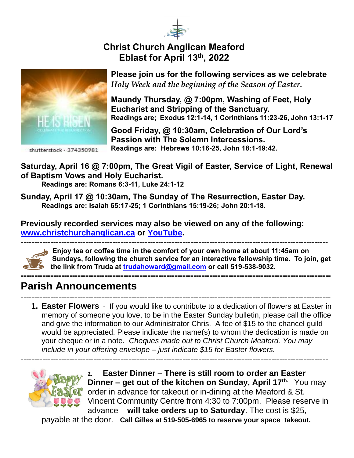

## **Christ Church Anglican Meaford Eblast for April 13th , 2022**



shutterstock - 374350981

**Please join us for the following services as we celebrate**  *Holy Week and the beginning of the Season of Easter***.** 

**Maundy Thursday, @ 7:00pm, Washing of Feet, Holy Eucharist and Stripping of the Sanctuary. Readings are; Exodus 12:1-14, 1 Corinthians 11:23-26, John 13:1-17**

**Good Friday, @ 10:30am, Celebration of Our Lord's Passion with The Solemn Intercessions. Readings are: Hebrews 10:16-25, John 18:1-19:42.**

**Saturday, April 16 @ 7:00pm, The Great Vigil of Easter, Service of Light, Renewal of Baptism Vows and Holy Eucharist.** 

**Readings are: Romans 6:3-11, Luke 24:1-12**

**Sunday, April 17 @ 10:30am, The Sunday of The Resurrection, Easter Day. Readings are: Isaiah 65:17-25; 1 Corinthians 15:19-26; John 20:1-18.** 

**Previously recorded services may also be viewed on any of the following: [www.christchurchanglican.ca](http://www.christchurchanglican.ca/) or [YouTube.](https://www.youtube.com/channel/UCcJHYZ4ZTnJDu7skpcd4O5A)** 



**------------------------------------------------------------------------------------------------------------------ Enjoy tea or coffee time in the comfort of your own home at about 11:45am on Sundays, following the church service for an interactive fellowship time. To join, get the link from Truda at [trudahoward@gmail.com](mailto:trudahoward@gmail.com) or call 519-538-9032.**

## **------------------------------------------------------------------------------------------------------------------- Parish Announcements**

------------------------------------------------------------------------------------------------------------------- **1. Easter Flowers** - If you would like to contribute to a dedication of flowers at Easter in memory of someone you love, to be in the Easter Sunday bulletin, please call the office and give the information to our Administrator Chris. A fee of \$15 to the chancel guild would be appreciated. Please indicate the name(s) to whom the dedication is made on your cheque or in a note. *Cheques made out to Christ Church Meaford. You may include in your offering envelope – just indicate \$15 for Easter flowers.* 

------------------------------------------------------------------------------------------------------------------



**2. Easter Dinner** – **There is still room to order an Easter Dinner – get out of the kitchen on Sunday, April 17th.** You may order in advance for takeout or in-dining at the Meaford & St. Vincent Community Centre from 4:30 to 7:00pm. Please reserve in advance – **will take orders up to Saturday**. The cost is \$25,

paya[ble at](https://creativecommons.org/licenses/by-nd/3.0/) the door. **Call Gilles at 519-505-6965 to reserve your space takeout.**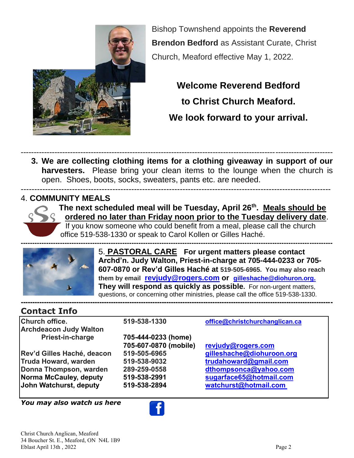

Bishop Townshend appoints the **Reverend Brendon Bedford** as Assistant Curate, Christ Church, Meaford effective May 1, 2022.

# **Welcome Reverend Bedford to Christ Church Meaford. We look forward to your arrival.**

------------------------------------------------------------------------------------------------------------------------ **3. We are collecting clothing items for a clothing giveaway in support of our harvesters.** Please bring your clean items to the lounge when the church is open. Shoes, boots, socks, sweaters, pants etc. are needed. -------------------------------------------------------------------------------------------------------------------

#### 4. **COMMUNITY MEALS**



**The next scheduled meal will be Tuesday, April 26th . Meals should be ordered no later than Friday noon prior to the Tuesday delivery date**.

If you know someone who could benefit from a meal, please call the church office 519-538-1330 or speak to Carol Kollen or Gilles Haché.



5. **PASTORAL CARE For urgent matters please contact Archd'n. Judy Walton, Priest-in-charge at 705-444-0233 or 705- 607-0870 or Rev'd Gilles Haché at 519-505-6965. You may also reach them by email [revjudy@rogers.com](mailto:revjudy@rogers.com) or [gilleshache@diohuron.org.](mailto:gilleshache@diohuron.org) They will respond as quickly as possible.** For non-urgent matters, questions, or concerning other ministries, please call the office 519-538-1330. **---------------------------------------------------------------------------------------------------------------------------------------**

# **Contact Info**

| <b>Church office.</b>         | 519-538-1330          | office@christchurchanglican.ca |
|-------------------------------|-----------------------|--------------------------------|
| <b>Archdeacon Judy Walton</b> |                       |                                |
| Priest-in-charge              | 705-444-0233 (home)   |                                |
|                               | 705-607-0870 (mobile) | revjudy@rogers.com             |
| Rev'd Gilles Haché, deacon    | 519-505-6965          | gilleshache@diohuroon.org      |
| Truda Howard, warden          | 519-538-9032          | trudahoward@gmail.com          |
| Donna Thompson, warden        | 289-259-0558          | dthompsonca@yahoo.com          |
| Norma McCauley, deputy        | 519-538-2991          | sugarface65@hotmail.com        |
| John Watchurst, deputy        | 519-538-2894          | watchurst@hotmail.com          |

*You may also watch us here* 

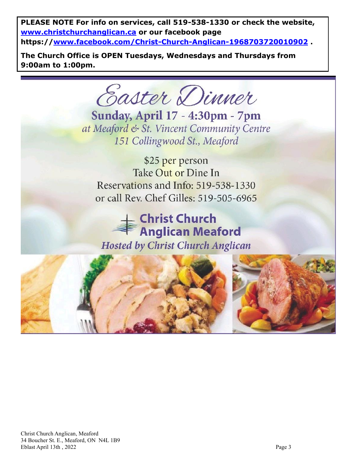**PLEASE NOTE For info on services, call 519-538-1330 or check the website, [www.christchurchanglican.ca](http://www.christchurchanglican.ca/) or our facebook page https:/[/www.facebook.com/Christ-Church-Anglican-1968703720010902](file:///C:/Users/Church%20Office/IDrive-Sync/CHRIST%20CHURCH%20MEAFORD/Eblasts/EBLASTS%202021/www.facebook.com/Christ-Church-Anglican-1968703720010902) .** 

**The Church Office is OPEN Tuesdays, Wednesdays and Thursdays from 9:00am to 1:00pm.** 

Easter Dinner

**Sunday, April 17 - 4:30pm - 7pm** at Meaford & St. Vincent Community Centre 151 Collingwood St., Meaford

\$25 per person Take Out or Dine In Reservations and Info: 519-538-1330 or call Rev. Chef Gilles: 519-505-6965

**Christ Church Anglican Meaford Hosted by Christ Church Anglican**